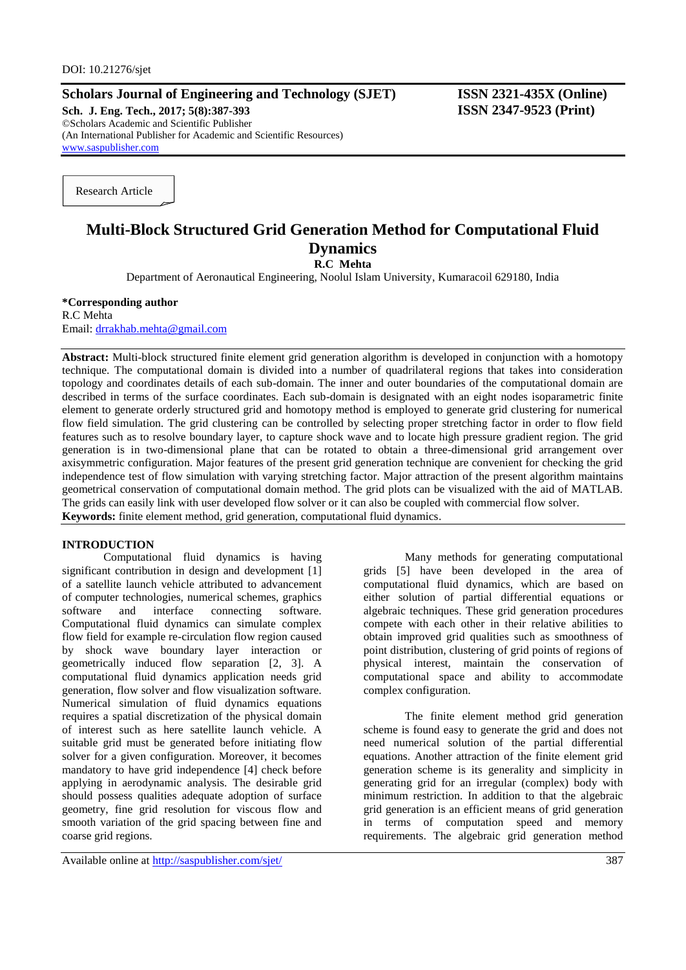## **Scholars Journal of Engineering and Technology (SJET) ISSN 2321-435X (Online)**

**Sch. J. Eng. Tech., 2017; 5(8):387-393 ISSN 2347-9523 (Print)** ©Scholars Academic and Scientific Publisher (An International Publisher for Academic and Scientific Resources) [www.saspublisher.com](http://www.saspublisher.com/)

Research Article

# **Multi-Block Structured Grid Generation Method for Computational Fluid Dynamics R.C Mehta**

Department of Aeronautical Engineering, Noolul Islam University, Kumaracoil 629180, India

#### **\*Corresponding author** R.C Mehta Email: [drrakhab.mehta@gmail.com](mailto:drrakhab.mehta@gmail.com)

**Abstract:** Multi-block structured finite element grid generation algorithm is developed in conjunction with a homotopy technique. The computational domain is divided into a number of quadrilateral regions that takes into consideration topology and coordinates details of each sub-domain. The inner and outer boundaries of the computational domain are described in terms of the surface coordinates. Each sub-domain is designated with an eight nodes isoparametric finite element to generate orderly structured grid and homotopy method is employed to generate grid clustering for numerical flow field simulation. The grid clustering can be controlled by selecting proper stretching factor in order to flow field features such as to resolve boundary layer, to capture shock wave and to locate high pressure gradient region. The grid generation is in two-dimensional plane that can be rotated to obtain a three-dimensional grid arrangement over axisymmetric configuration. Major features of the present grid generation technique are convenient for checking the grid independence test of flow simulation with varying stretching factor. Major attraction of the present algorithm maintains geometrical conservation of computational domain method. The grid plots can be visualized with the aid of MATLAB. The grids can easily link with user developed flow solver or it can also be coupled with commercial flow solver. **Keywords:** finite element method, grid generation, computational fluid dynamics.

### **INTRODUCTION**

Computational fluid dynamics is having significant contribution in design and development [1] of a satellite launch vehicle attributed to advancement of computer technologies, numerical schemes, graphics software and interface connecting software. Computational fluid dynamics can simulate complex flow field for example re-circulation flow region caused by shock wave boundary layer interaction or geometrically induced flow separation [2, 3]. A computational fluid dynamics application needs grid generation, flow solver and flow visualization software. Numerical simulation of fluid dynamics equations requires a spatial discretization of the physical domain of interest such as here satellite launch vehicle. A suitable grid must be generated before initiating flow solver for a given configuration. Moreover, it becomes mandatory to have grid independence [4] check before applying in aerodynamic analysis. The desirable grid should possess qualities adequate adoption of surface geometry, fine grid resolution for viscous flow and smooth variation of the grid spacing between fine and coarse grid regions.

Available online at<http://saspublisher.com/sjet/> 387

Many methods for generating computational grids [5] have been developed in the area of computational fluid dynamics, which are based on either solution of partial differential equations or algebraic techniques. These grid generation procedures compete with each other in their relative abilities to obtain improved grid qualities such as smoothness of point distribution, clustering of grid points of regions of physical interest, maintain the conservation of computational space and ability to accommodate complex configuration.

The finite element method grid generation scheme is found easy to generate the grid and does not need numerical solution of the partial differential equations. Another attraction of the finite element grid generation scheme is its generality and simplicity in generating grid for an irregular (complex) body with minimum restriction. In addition to that the algebraic grid generation is an efficient means of grid generation in terms of computation speed and memory requirements. The algebraic grid generation method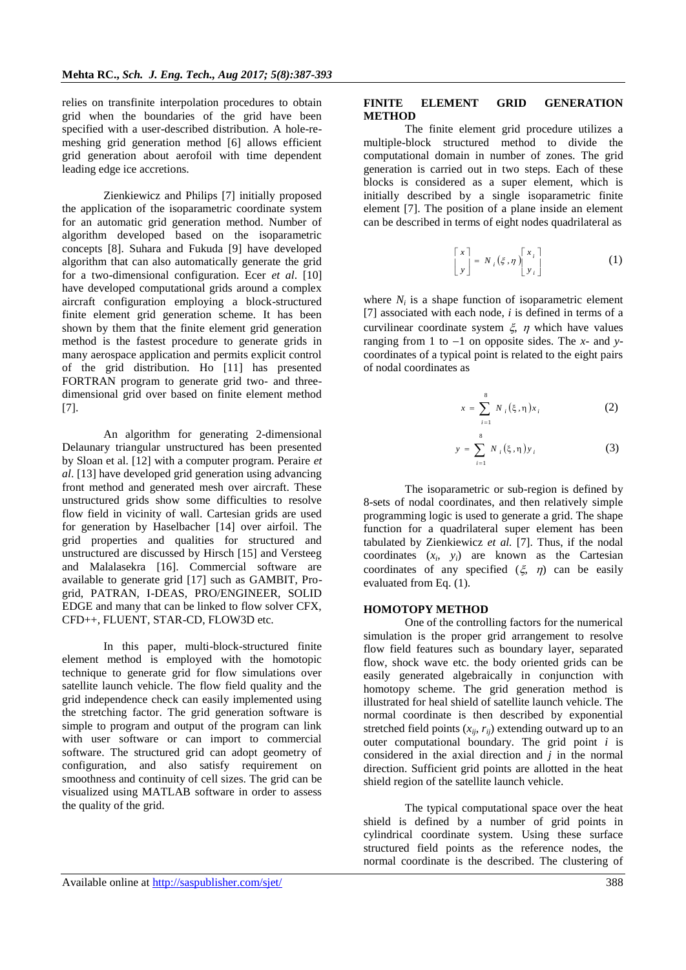relies on transfinite interpolation procedures to obtain grid when the boundaries of the grid have been specified with a user-described distribution. A hole-remeshing grid generation method [6] allows efficient grid generation about aerofoil with time dependent leading edge ice accretions.

Zienkiewicz and Philips [7] initially proposed the application of the isoparametric coordinate system for an automatic grid generation method. Number of algorithm developed based on the isoparametric concepts [8]. Suhara and Fukuda [9] have developed algorithm that can also automatically generate the grid for a two-dimensional configuration. Ecer *et al*. [10] have developed computational grids around a complex aircraft configuration employing a block-structured finite element grid generation scheme. It has been shown by them that the finite element grid generation method is the fastest procedure to generate grids in many aerospace application and permits explicit control of the grid distribution. Ho [11] has presented FORTRAN program to generate grid two- and threedimensional grid over based on finite element method [7].

An algorithm for generating 2-dimensional Delaunary triangular unstructured has been presented by Sloan et al. [12] with a computer program. Peraire *et al*. [13] have developed grid generation using advancing front method and generated mesh over aircraft. These unstructured grids show some difficulties to resolve flow field in vicinity of wall. Cartesian grids are used for generation by Haselbacher [14] over airfoil. The grid properties and qualities for structured and unstructured are discussed by Hirsch [15] and Versteeg and Malalasekra [16]. Commercial software are available to generate grid [17] such as GAMBIT, Progrid, PATRAN, I-DEAS, PRO/ENGINEER, SOLID EDGE and many that can be linked to flow solver CFX, CFD++, FLUENT, STAR-CD, FLOW3D etc.

In this paper, multi-block-structured finite element method is employed with the homotopic technique to generate grid for flow simulations over satellite launch vehicle. The flow field quality and the grid independence check can easily implemented using the stretching factor. The grid generation software is simple to program and output of the program can link with user software or can import to commercial software. The structured grid can adopt geometry of configuration, and also satisfy requirement on smoothness and continuity of cell sizes. The grid can be visualized using MATLAB software in order to assess the quality of the grid.

#### **FINITE ELEMENT GRID GENERATION METHOD**

The finite element grid procedure utilizes a multiple-block structured method to divide the computational domain in number of zones. The grid generation is carried out in two steps. Each of these blocks is considered as a super element, which is initially described by a single isoparametric finite element [7]. The position of a plane inside an element can be described in terms of eight nodes quadrilateral as

$$
\begin{bmatrix} x \\ y \end{bmatrix} = N_i(\xi, \eta) \begin{bmatrix} x_i \\ y_i \end{bmatrix}
$$
 (1)

where  $N_i$  is a shape function of isoparametric element [7] associated with each node, *i* is defined in terms of a curvilinear coordinate system  $\xi$ ,  $\eta$  which have values ranging from 1 to  $-1$  on opposite sides. The *x*- and *y*coordinates of a typical point is related to the eight pairs of nodal coordinates as

$$
x = \sum_{i=1}^{8} N_i(\xi, \eta) x_i
$$
 (2)

$$
y = \sum_{i=1}^{8} N_i(\xi, \eta) y_i
$$
 (3)

The isoparametric or sub-region is defined by 8-sets of nodal coordinates, and then relatively simple programming logic is used to generate a grid. The shape function for a quadrilateral super element has been tabulated by Zienkiewicz *et al.* [7]. Thus, if the nodal coordinates  $(x_i, y_i)$  are known as the Cartesian coordinates of any specified  $(\xi, \eta)$  can be easily evaluated from Eq. (1).

#### **HOMOTOPY METHOD**

One of the controlling factors for the numerical simulation is the proper grid arrangement to resolve flow field features such as boundary layer, separated flow, shock wave etc. the body oriented grids can be easily generated algebraically in conjunction with homotopy scheme. The grid generation method is illustrated for heal shield of satellite launch vehicle. The normal coordinate is then described by exponential stretched field points  $(x_{ij}, r_{ij})$  extending outward up to an outer computational boundary. The grid point *i* is considered in the axial direction and *j* in the normal direction. Sufficient grid points are allotted in the heat shield region of the satellite launch vehicle.

The typical computational space over the heat shield is defined by a number of grid points in cylindrical coordinate system. Using these surface structured field points as the reference nodes, the normal coordinate is the described. The clustering of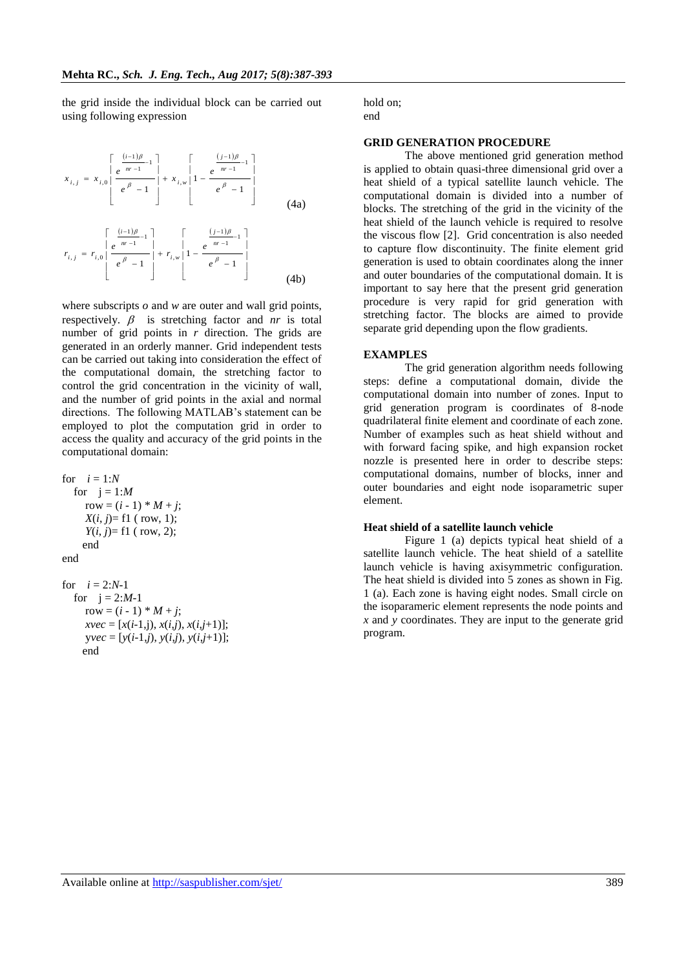the grid inside the individual block can be carried out using following expression

$$
x_{i,j} = x_{i,0} \left[ \frac{e^{\frac{(i-1)\beta}{m-1}}}{e^{\beta} - 1} \right] + x_{i,w} \left[ 1 - \frac{e^{\frac{(j-1)\beta}{m-1}}}{e^{\beta} - 1} \right]
$$
\n
$$
r_{i,j} = r_{i,0} \left[ \frac{e^{\frac{(i-1)\beta}{m-1}}}{e^{\beta} - 1} \right] + r_{i,w} \left[ 1 - \frac{e^{\frac{(j-1)\beta}{m-1}}}{e^{\beta} - 1} \right]
$$
\n
$$
r_{i,j} = r_{i,0} \left[ \frac{e^{\frac{(i-1)\beta}{m-1}}}{e^{\beta} - 1} \right] + r_{i,w} \left[ 1 - \frac{e^{\frac{(j-1)\beta}{m-1}}}{e^{\beta} - 1} \right]
$$
\n
$$
(4b)
$$

where subscripts *o* and *w* are outer and wall grid points, respectively.  $\beta$  is stretching factor and *nr* is total number of grid points in *r* direction. The grids are generated in an orderly manner. Grid independent tests can be carried out taking into consideration the effect of the computational domain, the stretching factor to control the grid concentration in the vicinity of wall, and the number of grid points in the axial and normal directions. The following MATLAB's statement can be employed to plot the computation grid in order to access the quality and accuracy of the grid points in the computational domain:

for 
$$
i = 1:N
$$
  
\nfor  $j = 1:M$   
\nrow =  $(i - 1) * M + j$ ;  
\n $X(i, j)=f1$  ( row, 1);  
\n $Y(i, j)=f1$  ( row, 2);  
\nend  
\nend  
\nfor  $i = 2:N-1$   
\nfor  $j = 2:M-1$   
\nrow =  $(i - 1) * M + j$ ;  
\n $xvec = [x(i-1,j), x(i,j), x(i,j+1)];$ 

end

y*vec* = [*y*(*i*-1,*j*), *y*(*i*,*j*), *y*(*i*,*j*+1)];

hold on; end

#### **GRID GENERATION PROCEDURE**

The above mentioned grid generation method is applied to obtain quasi-three dimensional grid over a heat shield of a typical satellite launch vehicle. The computational domain is divided into a number of blocks. The stretching of the grid in the vicinity of the heat shield of the launch vehicle is required to resolve the viscous flow [2]. Grid concentration is also needed to capture flow discontinuity. The finite element grid generation is used to obtain coordinates along the inner and outer boundaries of the computational domain. It is important to say here that the present grid generation procedure is very rapid for grid generation with stretching factor. The blocks are aimed to provide separate grid depending upon the flow gradients.

### **EXAMPLES**

The grid generation algorithm needs following steps: define a computational domain, divide the computational domain into number of zones. Input to grid generation program is coordinates of 8-node quadrilateral finite element and coordinate of each zone. Number of examples such as heat shield without and with forward facing spike, and high expansion rocket nozzle is presented here in order to describe steps: computational domains, number of blocks, inner and outer boundaries and eight node isoparametric super element.

### **Heat shield of a satellite launch vehicle**

Figure 1 (a) depicts typical heat shield of a satellite launch vehicle. The heat shield of a satellite launch vehicle is having axisymmetric configuration. The heat shield is divided into 5 zones as shown in Fig. 1 (a). Each zone is having eight nodes. Small circle on the isoparameric element represents the node points and *x* and *y* coordinates. They are input to the generate grid program.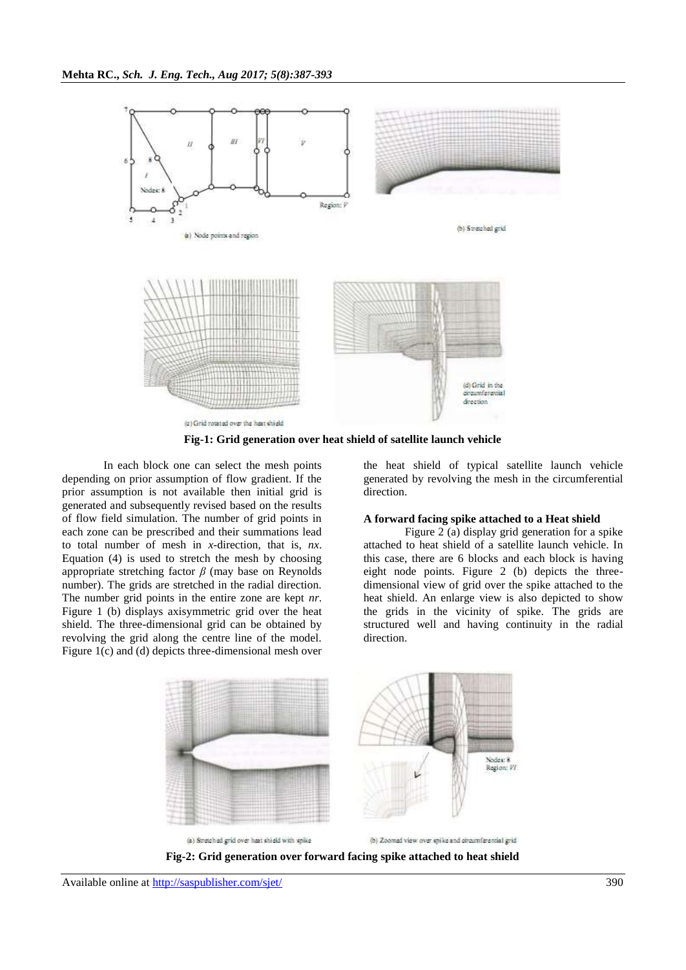

**Fig-1: Grid generation over heat shield of satellite launch vehicle**

In each block one can select the mesh points depending on prior assumption of flow gradient. If the prior assumption is not available then initial grid is generated and subsequently revised based on the results of flow field simulation. The number of grid points in each zone can be prescribed and their summations lead to total number of mesh in *x*-direction, that is, *nx*. Equation (4) is used to stretch the mesh by choosing appropriate stretching factor *β* (may base on Reynolds number). The grids are stretched in the radial direction. The number grid points in the entire zone are kept *nr*. Figure 1 (b) displays axisymmetric grid over the heat shield. The three-dimensional grid can be obtained by revolving the grid along the centre line of the model. Figure 1(c) and (d) depicts three-dimensional mesh over

the heat shield of typical satellite launch vehicle generated by revolving the mesh in the circumferential direction.

#### **A forward facing spike attached to a Heat shield**

Figure 2 (a) display grid generation for a spike attached to heat shield of a satellite launch vehicle. In this case, there are 6 blocks and each block is having eight node points. Figure 2 (b) depicts the threedimensional view of grid over the spike attached to the heat shield. An enlarge view is also depicted to show the grids in the vicinity of spike. The grids are structured well and having continuity in the radial direction.

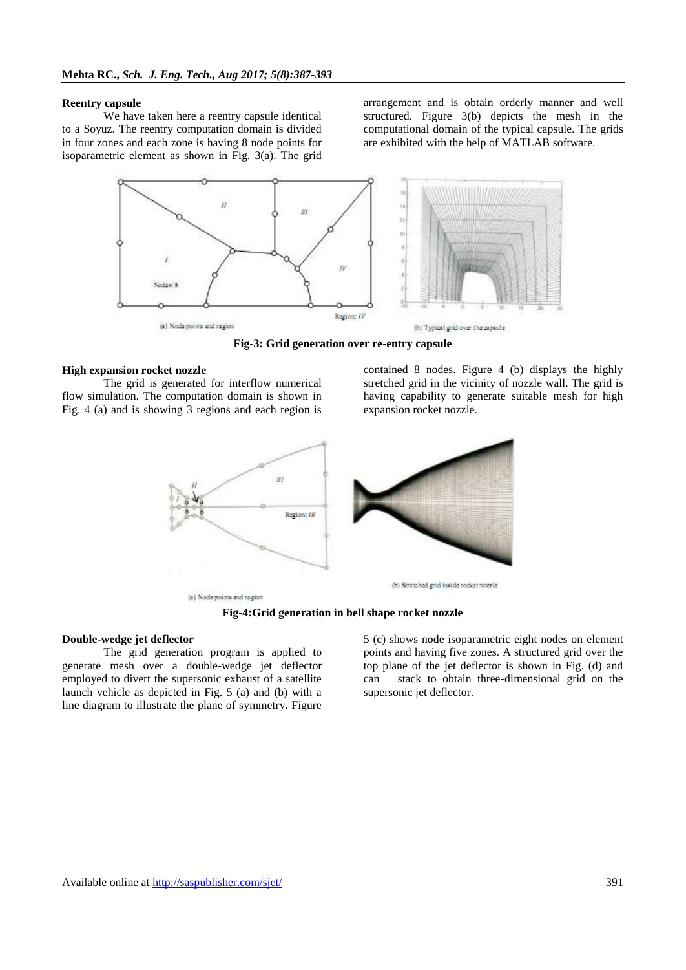#### **Reentry capsule**

We have taken here a reentry capsule identical to a Soyuz. The reentry computation domain is divided in four zones and each zone is having 8 node points for isoparametric element as shown in Fig. 3(a). The grid

arrangement and is obtain orderly manner and well structured. Figure 3(b) depicts the mesh in the computational domain of the typical capsule. The grids are exhibited with the help of MATLAB software.



**Fig-3: Grid generation over re-entry capsule**

### **High expansion rocket nozzle**

The grid is generated for interflow numerical flow simulation. The computation domain is shown in Fig. 4 (a) and is showing 3 regions and each region is

contained 8 nodes. Figure 4 (b) displays the highly stretched grid in the vicinity of nozzle wall. The grid is having capability to generate suitable mesh for high expansion rocket nozzle.



(a) Node points and region

### **Fig-4:Grid generation in bell shape rocket nozzle**

### **Double-wedge jet deflector**

The grid generation program is applied to generate mesh over a double-wedge jet deflector employed to divert the supersonic exhaust of a satellite launch vehicle as depicted in Fig. 5 (a) and (b) with a line diagram to illustrate the plane of symmetry. Figure

5 (c) shows node isoparametric eight nodes on element points and having five zones. A structured grid over the top plane of the jet deflector is shown in Fig. (d) and can stack to obtain three-dimensional grid on the supersonic jet deflector.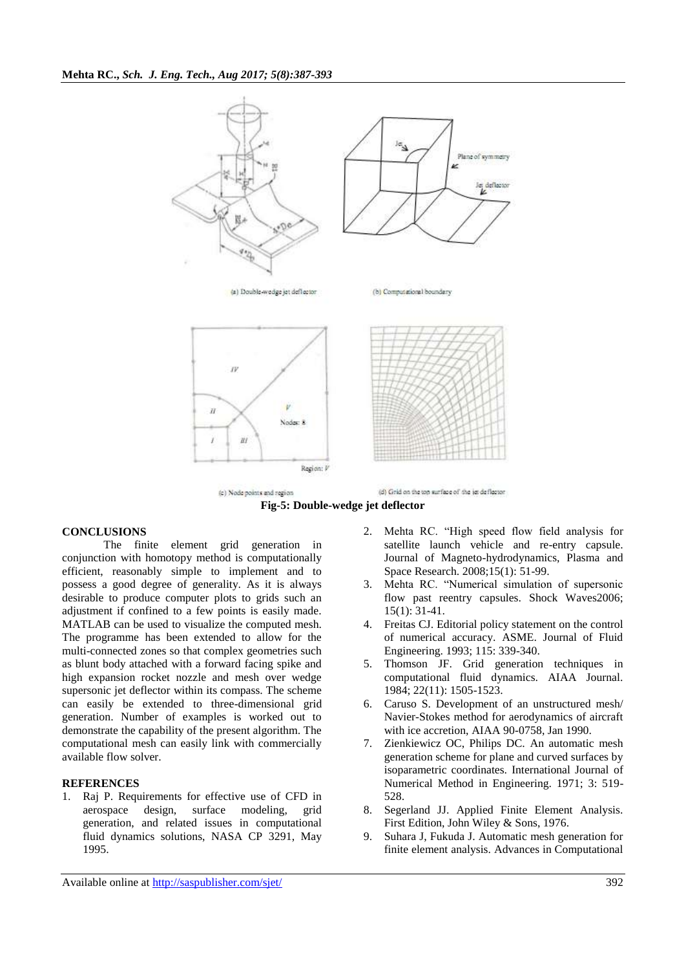



### **CONCLUSIONS**

The finite element grid generation in conjunction with homotopy method is computationally efficient, reasonably simple to implement and to possess a good degree of generality. As it is always desirable to produce computer plots to grids such an adjustment if confined to a few points is easily made. MATLAB can be used to visualize the computed mesh. The programme has been extended to allow for the multi-connected zones so that complex geometries such as blunt body attached with a forward facing spike and high expansion rocket nozzle and mesh over wedge supersonic jet deflector within its compass. The scheme can easily be extended to three-dimensional grid generation. Number of examples is worked out to demonstrate the capability of the present algorithm. The computational mesh can easily link with commercially available flow solver.

#### **REFERENCES**

1. Raj P. Requirements for effective use of CFD in aerospace design, surface modeling, grid generation, and related issues in computational fluid dynamics solutions, NASA CP 3291, May 1995.

- 2. Mehta RC. "High speed flow field analysis for satellite launch vehicle and re-entry capsule. Journal of Magneto-hydrodynamics, Plasma and Space Research. 2008;15(1): 51-99.
- 3. Mehta RC. "Numerical simulation of supersonic flow past reentry capsules. Shock Waves2006; 15(1): 31-41.
- 4. Freitas CJ. Editorial policy statement on the control of numerical accuracy. ASME. Journal of Fluid Engineering. 1993; 115: 339-340.
- 5. Thomson JF. Grid generation techniques in computational fluid dynamics. AIAA Journal. 1984; 22(11): 1505-1523.
- 6. Caruso S. Development of an unstructured mesh/ Navier-Stokes method for aerodynamics of aircraft with ice accretion, AIAA 90-0758, Jan 1990.
- 7. Zienkiewicz OC, Philips DC. An automatic mesh generation scheme for plane and curved surfaces by isoparametric coordinates. International Journal of Numerical Method in Engineering. 1971; 3: 519- 528.
- 8. Segerland JJ. Applied Finite Element Analysis. First Edition, John Wiley & Sons, 1976.
- 9. Suhara J, Fukuda J. Automatic mesh generation for finite element analysis. Advances in Computational